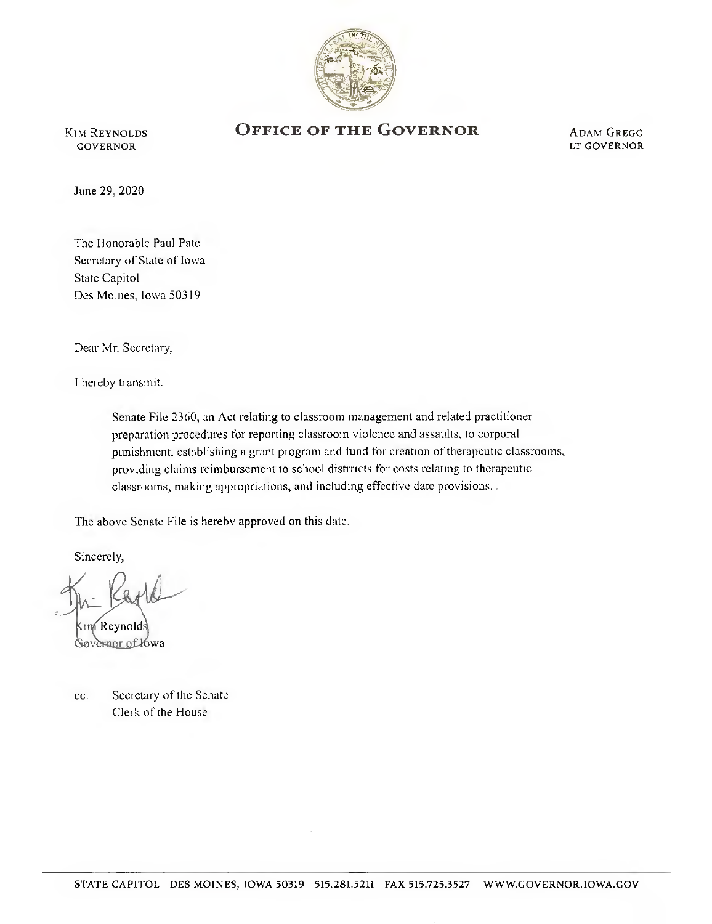

**KIM REYNOLDS** GOVERNOR

## OFFICE OF THE GOVERNOR

**ADAM GREGG** LT GOVERNOR

June 29, 2020

The Honorable Paul Pate Secretary of State of Iowa State Capitol Des Moines, Iowa 50319

Dear Mr. Secretary,

I hereby transmit:

Senate File 2360, an Act relating to classroom management and related practitioner preparation procedures for reporting classroom violence and assaults, to corporal punishment, establishing a grant program and fund for creation of therapeutic classrooms, providing claims reimbursement to school distrricts for costs relating to therapeutic classrooms, making appropriations, and including effective date provisions. .

The above Senate File is hereby approved on this date.

Sincerely,

Reynold ernor of Yowa

c: Secretary of the Senate Clerk of the House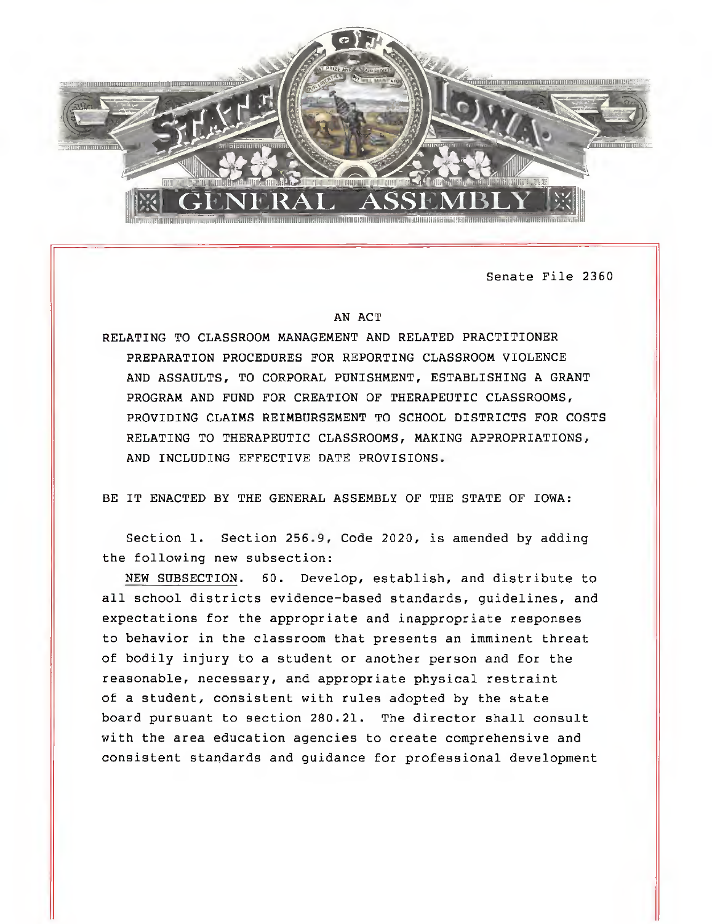

Senate File 2360

## AN ACT

RELATING TO CLASSROOM MANAGEMENT AND RELATED PRACTITIONER PREPARATION PROCEDURES FOR REPORTING CLASSROOM VIOLENCE AND ASSAULTS, TO CORPORAL PUNISHMENT, ESTABLISHING A GRANT PROGRAM AND FUND FOR CREATION OF THERAPEUTIC CLASSROOMS, PROVIDING CLAIMS REIMBURSEMENT TO SCHOOL DISTRICTS FOR COSTS RELATING TO THERAPEUTIC CLASSROOMS, MAKING APPROPRIATIONS, AND INCLUDING EFFECTIVE DATE PROVISIONS.

BE IT ENACTED BY THE GENERAL ASSEMBLY OF THE STATE OF IOWA:

Section 1. Section 256.9, Code 2020, is amended by adding the following new subsection:

NEW SUBSECTION. 60. Develop, establish, and distribute to all school districts evidence-based standards, guidelines, and expectations for the appropriate and inappropriate responses to behavior in the classroom that presents an imminent threat of bodily injury to a student or another person and for the reasonable, necessary, and appropriate physical restraint of a student, consistent with rules adopted by the state board pursuant to section 280.21. The director shall consult with the area education agencies to create comprehensive and consistent standards and guidance for professional development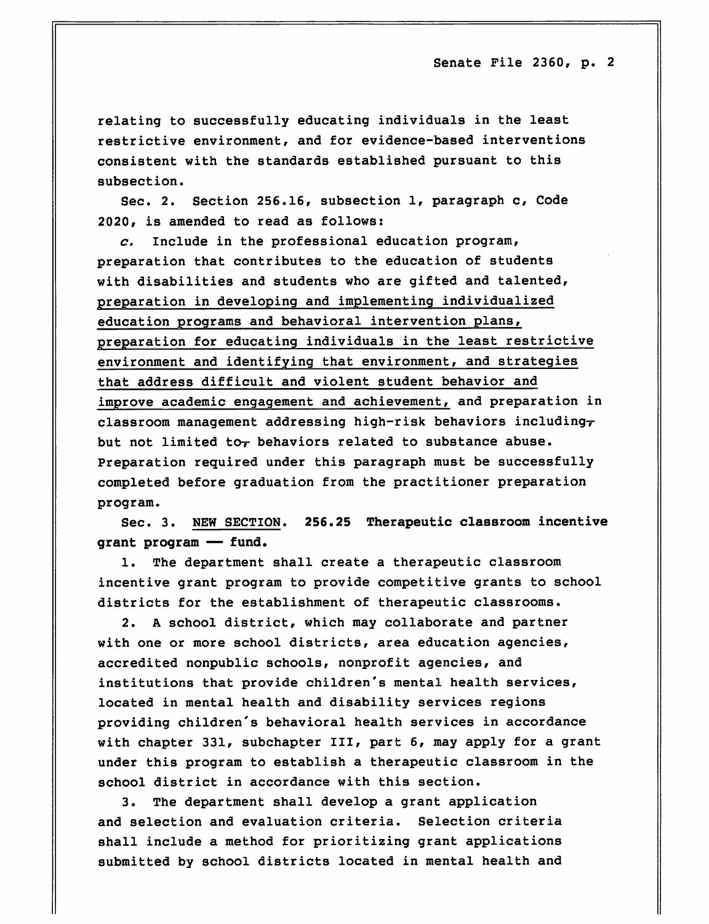relating to successfully educating individuals in the least restrictive environment, and for evidence-based interventions consistent with the standards established pursuant to this subsection.

Sec. 2. Section 256.16, subsection 1, paragraph c, Code 2020, is amended to read as follows:

 $c.$  Include in the professional education program, preparation that contributes to the education of students with disabilities and students who are gifted and talented, preparation in developing and implementing individualized education programs and behavioral intervention plans, preparation for educating individuals in the least restrictive environment and identifying that environment, and strategies that address difficult and violent student behavior and improve academic engagement and achievement, and preparation in classroom management addressing high-risk behaviors including $\tau$ but not limited to $_T$  behaviors related to substance abuse. Preparation required under this paragraph must be successfully completed before graduation from the practitioner preparation program.

Sec. 3. NEW SECTION. 256.25 Therapeutic classroom incentive grant program — fund.

1. The department shall create a therapeutic classroom incentive grant program to provide competitive grants to school districts for the establishment of therapeutic classrooms.

2. A school district, which may collaborate and partner with one or more school districts, area education agencies, accredited nonpublic schools, nonprofit agencies, and institutions that provide children's mental health services, located in mental health and disability services regions providing children's behavioral health services in accordance with chapter 331, subchapter III, part 6, may apply for a grant under this program to establish a therapeutic classroom in the school district in accordance with this section.

3. The department shall develop a grant application and selection and evaluation criteria. Selection criteria shall include a method for prioritizing grant applications submitted by school districts located in mental health and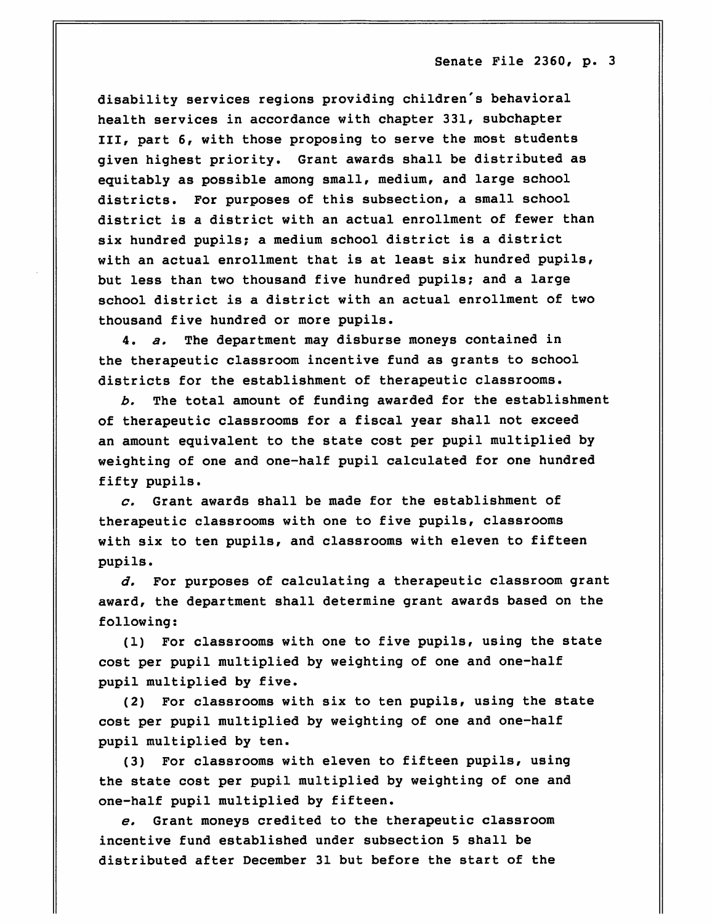disability services regions providing children's behavioral health services in accordance with chapter 331, subchapter III, part 6, with those proposing to serve the most students given highest priority. Grant awards shall be distributed as equitably as possible among small, medium, and large school districts. For purposes of this subsection, a small school district is a district with an actual enrollment of fewer than six hundred pupils; a medium school district is a district with an actual enrollment that is at least six hundred pupils, but less than two thousand five hundred pupils; and a large school district is a district with an actual enrollment of two thousand five hundred or more pupils.

4. a. The department may disburse moneys contained in the therapeutic classroom incentive fund as grants to school districts for the establishment of therapeutic classrooms.

b. The total amount of funding awarded for the establishment of therapeutic classrooms for a fiscal year shall not exceed an amount equivalent to the state cost per pupil multiplied by weighting of one and one-half pupil calculated for one hundred fifty pupils.

 $c.$  Grant awards shall be made for the establishment of therapeutic classrooms with one to five pupils, classrooms with six to ten pupils, and classrooms with eleven to fifteen pupils.

d. For purposes of calculating a therapeutic classroom grant award, the department shall determine grant awards based on the following:

(1) For classrooms with one to five pupils, using the state cost per pupil multiplied by weighting of one and one-half pupil multiplied by five.

(2) For classrooms with six to ten pupils, using the state cost per pupil multiplied by weighting of one and one-half pupil multiplied by ten.

(3) For classrooms with eleven to fifteen pupils, using the state cost per pupil multiplied by weighting of one and one-half pupil multiplied by fifteen.

e. Grant moneys credited to the therapeutic classroom incentive fund established under subsection 5 shall be distributed after December 31 but before the start of the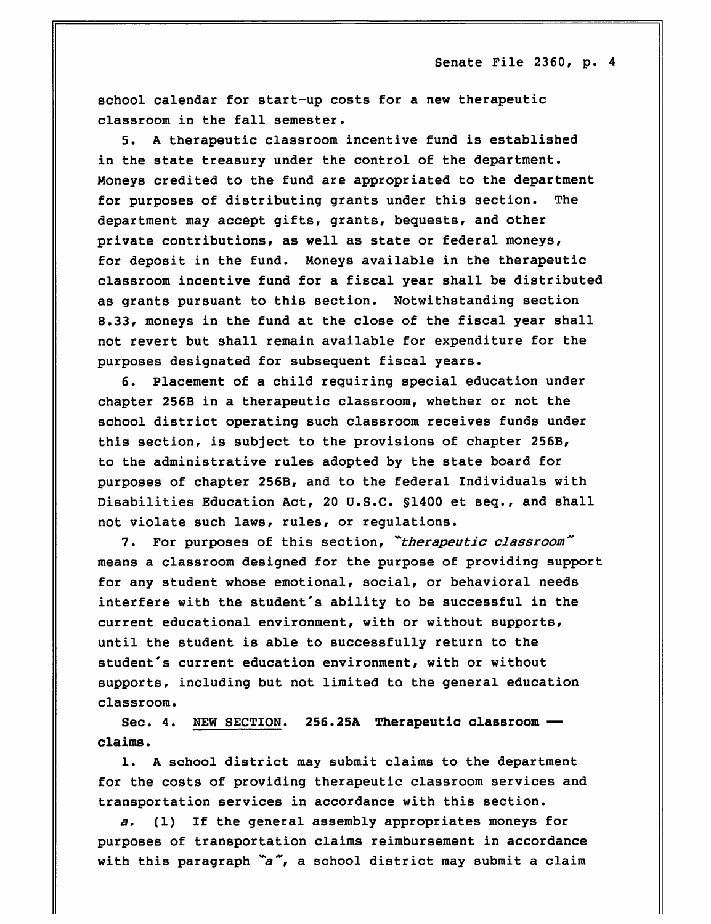school calendar for start-up costs for a new therapeutic classroom in the fall semester.

5. A therapeutic classroom incentive fund is established in the state treasury under the control of the department. Moneys credited to the fund are appropriated to the department for purposes of distributing grants under this section. The department may accept gifts, grants, bequests, and other private contributions, as well as state or federal moneys, for deposit in the fund. Moneys available in the therapeutic classroom incentive fund for a fiscal year shall be distributed as grants pursuant to this section. Notwithstanding section 8.33, moneys in the fund at the close of the fiscal year shall not revert but shall remain available for expenditure for the purposes designated for subsequent fiscal years.

6. Placement of a child requiring special education under chapter 256B in a therapeutic classroom, whether or not the school district operating such classroom receives funds under this section, is subject to the provisions of chapter 256B, to the administrative rules adopted by the state board for purposes of chapter 256B, and to the federal Individuals with Disabilities Education Act, 20 U.S.C. §1400 et seq., and shall not violate such laws, rules, or regulations.

7. For purposes of this section, "therapeutic classroom" means a classroom designed for the purpose of providing support for any student whose emotional, social, or behavioral needs interfere with the student's ability to be successful in the current educational environment, with or without supports, until the student is able to successfully return to the student's current education environment, with or without supports, including but not limited to the general education classroom.

Sec. 4. NEW SECTION. 256.25A Therapeutic classroom claims.

1. A school district may submit claims to the department for the costs of providing therapeutic classroom services and transportation services in accordance with this section.

a. (1) If the general assembly appropriates moneys for purposes of transportation claims reimbursement in accordance with this paragraph  $a''$ , a school district may submit a claim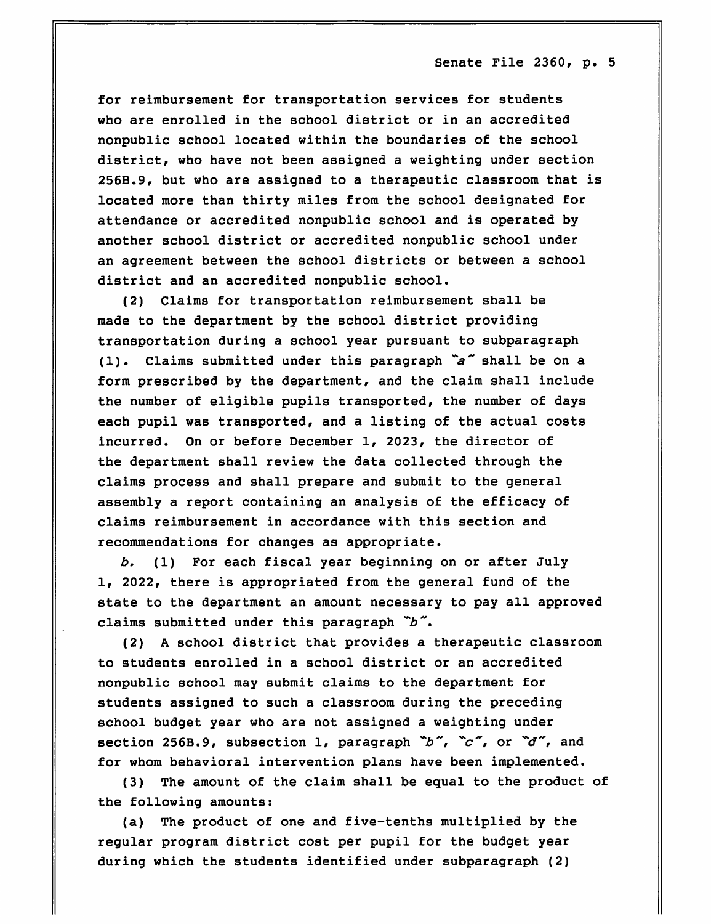for reimbursement for transportation services for students who are enrolled in the school district or in an accredited nonpublic school located within the boundaries of the school district, who have not been assigned a weighting under section 256B.9, but who are assigned to a therapeutic classroom that is located more than thirty miles from the school designated for attendance or accredited nonpublic school and is operated by another school district or accredited nonpublic school under an agreement between the school districts or between a school district and an accredited nonpublic school.

(2) Claims for transportation reimbursement shall be made to the department by the school district providing transportation during a school year pursuant to subparagraph (1). Claims submitted under this paragraph  $a^*$  shall be on a form prescribed by the department, and the claim shall include the number of eligible pupils transported, the number of days each pupil was transported, and a listing of the actual costs incurred. On or before December 1, 2023, the director of the department shall review the data collected through the claims process and shall prepare and submit to the general assembly a report containing an analysis of the efficacy of claims reimbursement in accordance with this section and recommendations for changes as appropriate.

b, (1) For each fiscal year beginning on or after July 1, 2022, there is appropriated from the general fund of the state to the department an amount necessary to pay all approved claims submitted under this paragraph  $\tilde{b}$ .

(2) A school district that provides a therapeutic classroom to students enrolled in a school district or an accredited nonpublic school may submit claims to the department for students assigned to such a classroom during the preceding school budget year who are not assigned a weighting under section 256B.9, subsection 1, paragraph  $\tilde{D}$ ,  $\tilde{C}$ , or  $\tilde{d}$ , and for whom behavioral intervention plans have been implemented.

(3) The amount of the claim shall be equal to the product of the following amounts:

(a) The product of one and five-tenths multiplied by the regular program district cost per pupil for the budget year during which the students identified under subparagraph (2)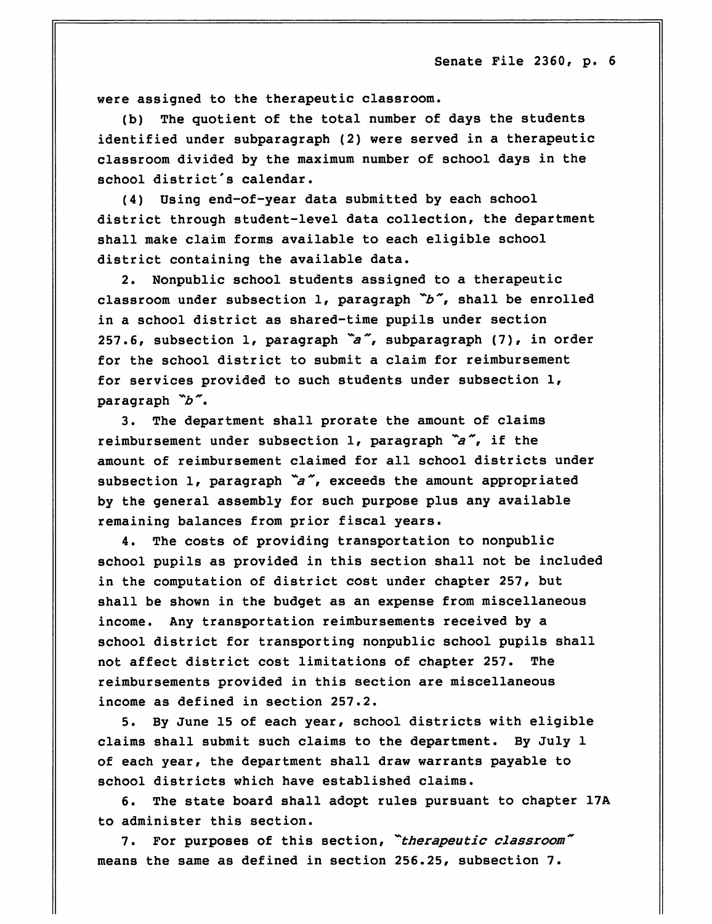were assigned to the therapeutic classroom.

(b) The quotient of the total number of days the students identified under subparagraph (2) were served in a therapeutic classroom divided by the maximum number of school days in the school district's calendar.

(4) Using end-of-year data submitted by each school district through student-level data collection, the department shall make claim forms available to each eligible school district containing the available data.

2. Nonpublic school students assigned to a therapeutic classroom under subsection 1, paragraph  $\tilde{b}$ , shall be enrolled in a school district as shared-time pupils under section 257.6, subsection 1, paragraph  $a^{\infty}$ , subparagraph (7), in order for the school district to submit a claim for reimbursement for services provided to such students under subsection 1, paragraph  $\tilde{b}$ .

3. The department shall prorate the amount of claims reimbursement under subsection 1, paragraph  $a''$ , if the amount of reimbursement claimed for all school districts under subsection 1, paragraph  $a^{\prime\prime}$ , exceeds the amount appropriated by the general assembly for such purpose plus any available remaining balances from prior fiscal years.

4. The costs of providing transportation to nonpublic school pupils as provided in this section shall not be included in the computation of district cost under chapter 257, but shall be shown in the budget as an expense from miscellaneous income. Any transportation reimbursements received by a school district for transporting nonpublic school pupils shall not affect district cost limitations of chapter 257. The reimbursements provided in this section are miscellaneous income as defined in section 257.2.

5. By June 15 of each year, school districts with eligible claims shall submit such claims to the department. By July 1 of each year, the department shall draw warrants payable to school districts which have established claims.

6. The state board shall adopt rules pursuant to chapter 17A to administer this section.

7. For purposes of this section, "therapeutic classroom" means the same as defined in section 256.25, subsection 7.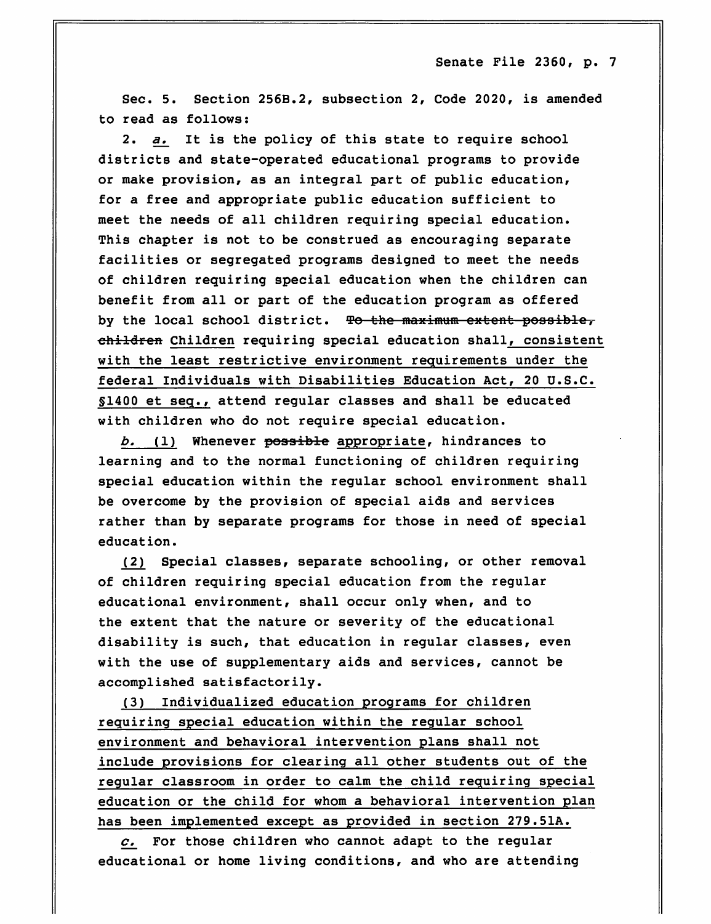Sec. 5. Section 256B.2, subsection 2, Code 2020, is amended to read as follows:

2. a. It is the policy of this state to require school districts and state-operated educational programs to provide or make provision, as an integral part of public education, for a free and appropriate public education sufficient to meet the needs of all children requiring special education. This chapter is not to be construed as encouraging separate facilities or segregated programs designed to meet the needs of children requiring special education when the children can benefit from all or part of the education program as offered by the local school district. To the maximum extent possible, children Children requiring special education shall, consistent with the least restrictive environment requirements under the federal Individuals with Disabilities Education Act, 20 U.S.C. §1400 et seq., attend regular classes and shall be educated with children who do not require special education.

b. (1) Whenever possible appropriate, hindrances to learning and to the normal functioning of children requiring special education within the regular school environment shall be overcome by the provision of special aids and services rather than by separate programs for those in need of special education.

(2) Special classes, separate schooling, or other removal of children requiring special education from the regular educational environment, shall occur only when, and to the extent that the nature or severity of the educational disability is such, that education in regular classes, even with the use of supplementary aids and services, cannot be accomplished satisfactorily.

(3) Individualized education programs for children requiring special education within the regular school environment and behavioral intervention plans shall not include provisions for clearing all other students out of the regular classroom in order to calm the child requiring special education or the child for whom a behavioral intervention plan has been implemented except as provided in section 279.51A.

 $c.$  For those children who cannot adapt to the regular educational or home living conditions, and who are attending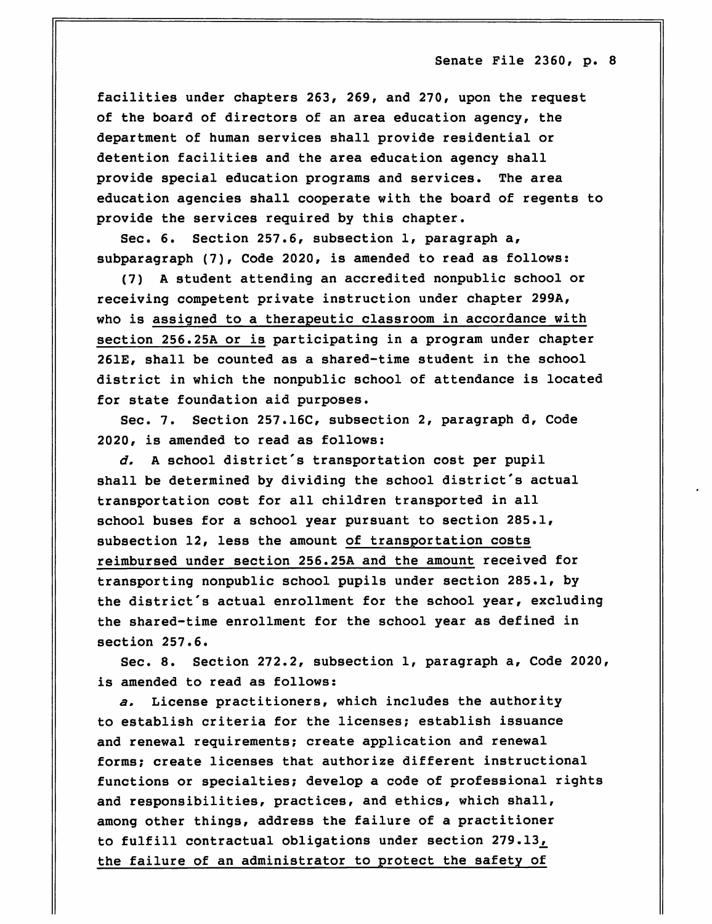facilities under chapters 263, 269, and 270, upon the request of the board of directors of an area education agency, the department of human services shall provide residential or detention facilities and the area education agency shall provide special education programs and services. The area education agencies shall cooperate with the board of regents to provide the services required by this chapter.

Sec. 6. Section 257.6, subsection 1, paragraph a, subparagraph (7), Code 2020, is amended to read as follows:

(7) A student attending an accredited nonpublic school or receiving competent private instruction under chapter 299A, who is assigned to a therapeutic classroom in accordance with section 256.25A or is participating in a program under chapter 261E, shall be counted as a shared-time student in the school district in which the nonpublic school of attendance is located for state foundation aid purposes.

Sec. 7. Section 257.16C, subsection 2, paragraph d, Code 2020, is amended to read as follows:

d. A school district's transportation cost per pupil shall be determined by dividing the school district's actual transportation cost for all children transported in all school buses for a school year pursuant to section 285.1, subsection 12, less the amount of transportation costs reimbursed under section 256.25A and the amount received for transporting nonpublic school pupils under section 285.1, by the district's actual enrollment for the school year, excluding the shared-time enrollment for the school year as defined in section 257.6.

Sec. 8. Section 272.2, subsection 1, paragraph a, Code 2020, is amended to read as follows:

a. License practitioners, which includes the authority to establish criteria for the licenses; establish issuance and renewal requirements; create application and renewal forms; create licenses that authorize different instructional functions or specialties; develop a code of professional rights and responsibilities, practices, and ethics, which shall, among other things, address the failure of a practitioner to fulfill contractual obligations under section 279.13, the failure of an administrator to protect the safety of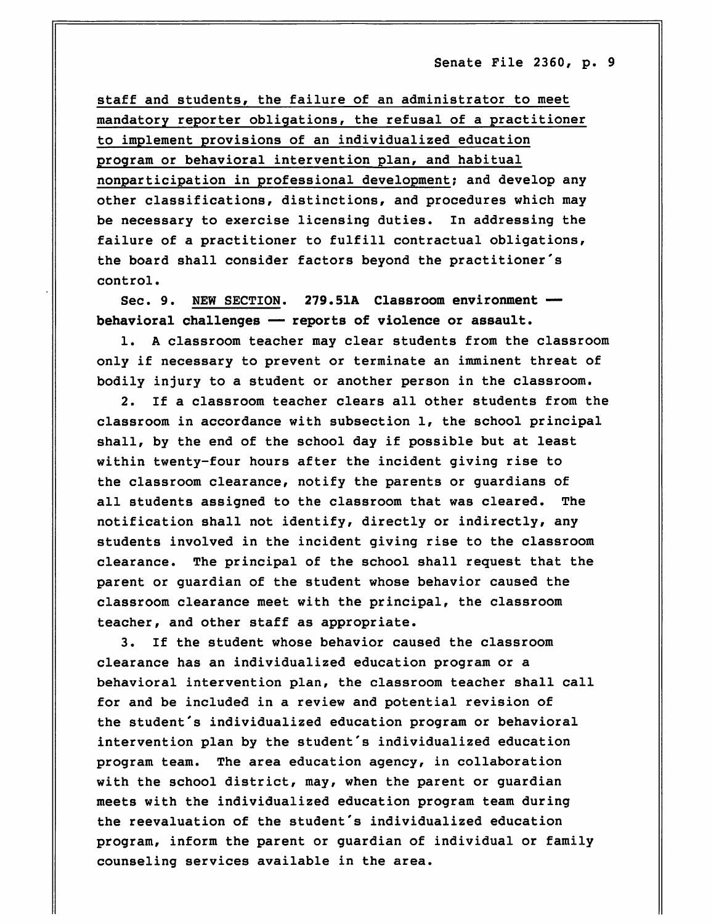staff and students, the failure of an administrator to meet mandatory reporter obligations, the refusal of a practitioner to implement provisions of an individualized education program or behavioral intervention plan, and habitual nonparticipation in professional development; and develop any other classifications, distinctions, and procedures which may be necessary to exercise licensing duties. In addressing the failure of a practitioner to fulfill contractual obligations, the board shall consider factors beyond the practitioner's control.

Sec. 9. NEW SECTION. 279.51A Classroom environment behavioral challenges — reports of violence or assault.

1. A classroom teacher may clear students from the classroom only if necessary to prevent or terminate an imminent threat of bodily injury to a student or another person in the classroom.

2. If a classroom teacher clears all other students from the classroom in accordance with subsection 1, the school principal shall, by the end of the school day if possible but at least within twenty-four hours after the incident giving rise to the classroom clearance, notify the parents or guardians of all students assigned to the classroom that was cleared. The notification shall not identify, directly or indirectly, any students involved in the incident giving rise to the classroom clearance. The principal of the school shall request that the parent or guardian of the student whose behavior caused the classroom clearance meet with the principal, the classroom teacher, and other staff as appropriate.

3. If the student whose behavior caused the classroom clearance has an individualized education program or a behavioral intervention plan, the classroom teacher shall call for and be included in a review and potential revision of the student's individualized education program or behavioral intervention plan by the student's individualized education program team. The area education agency, in collaboration with the school district, may, when the parent or guardian meets with the individualized education program team during the reevaluation of the student's individualized education program, inform the parent or guardian of individual or family counseling services available in the area.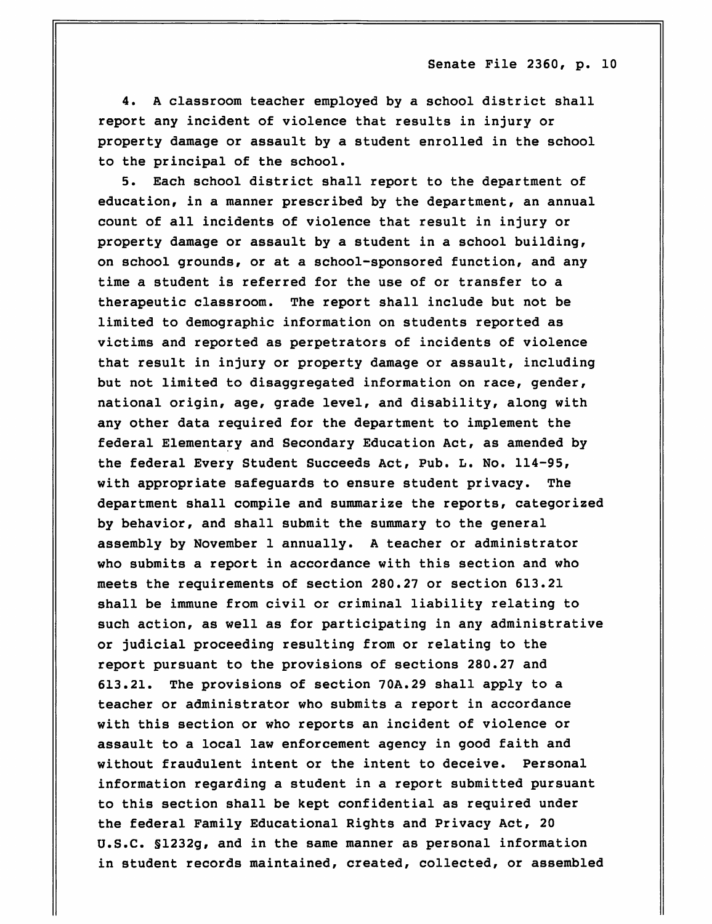4. A classroom teacher employed by a school district shall report any incident of violence that results in injury or property damage or assault by a student enrolled in the school to the principal of the school.

5. Each school district shall report to the department of education, in a manner prescribed by the department, an annual count of all incidents of violence that result in injury or property damage or assault by a student in a school building, on school grounds, or at a school-sponsored function, and any time a student is referred for the use of or transfer to a therapeutic classroom. The report shall include but not be limited to demographic information on students reported as victims and reported as perpetrators of incidents of violence that result in injury or property damage or assault, including but not limited to disaggregated information on race, gender, national origin, age, grade level, and disability, along with any other data required for the department to implement the federal Elementary and Secondary Education Act, as amended by the federal Every Student Succeeds Act, Pub. L. No. 114-95, with appropriate safeguards to ensure student privacy. The department shall compile and summarize the reports, categorized by behavior, and shall submit the summary to the general assembly by November 1 annually. A teacher or administrator who submits a report in accordance with this section and who meets the requirements of section 280.27 or section 613.21 shall be immune from civil or criminal liability relating to such action, as well as for participating in any administrative or judicial proceeding resulting from or relating to the report pursuant to the provisions of sections 280.27 and 613.21. The provisions of section 70A.29 shall apply to a teacher or administrator who submits a report in accordance with this section or who reports an incident of violence or assault to a local law enforcement agency in good faith and without fraudulent intent or the intent to deceive. Personal information regarding a student in a report submitted pursuant to this section shall be kept confidential as required under the federal Family Educational Rights and Privacy Act, 20 U.S.C. §1232g, and in the same manner as personal information in student records maintained, created, collected, or assembled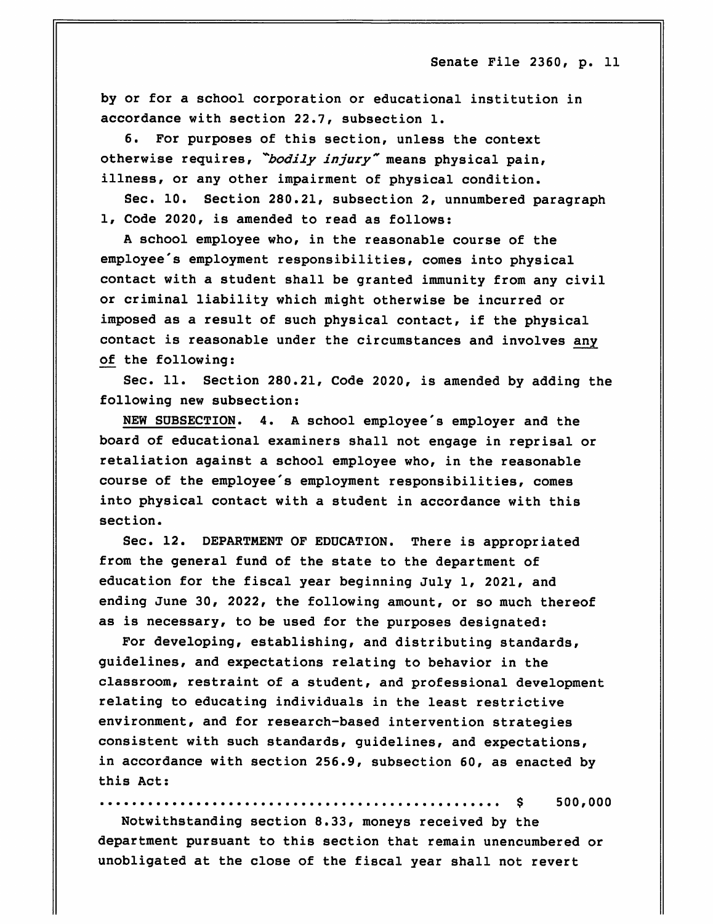by or for a school corporation or educational institution in accordance with section 22.7, subsection 1.

6. For purposes of this section, unless the context otherwise requires, "bodily injury" means physical pain, illness, or any other impairment of physical condition.

Sec. 10. Section 280.21, subsection 2, unnumbered paragraph 1, Code 2020, is amended to read as follows:

A school employee who, in the reasonable course of the employee's employment responsibilities, comes into physical contact with a student shall be granted immunity from any civil or criminal liability which might otherwise be incurred or imposed as a result of such physical contact, if the physical contact is reasonable under the circumstances and involves any of the following:

Sec. 11. Section 280.21, Code 2020, is amended by adding the following new subsection:

NEW SUBSECTION. 4. A school employee's employer and the board of educational examiners shall not engage in reprisal or retaliation against a school employee who, in the reasonable course of the employee's employment responsibilities, comes into physical contact with a student in accordance with this section.

Sec. 12. DEPARTMENT OF EDUCATION. There is appropriated from the general fund of the state to the department of education for the fiscal year beginning July 1, 2021, and ending June 30, 2022, the following amount, or so much thereof as is necessary, to be used for the purposes designated:

For developing, establishing, and distributing standards, guidelines, and expectations relating to behavior in the classroom, restraint of a student, and professional development relating to educating individuals in the least restrictive environment, and for research-based intervention strategies consistent with such standards, guidelines, and expectations, in accordance with section 256.9, subsection 60, as enacted by this Act:

\$ 500,000

Notwithstanding section 8.33, moneys received by the department pursuant to this section that remain unencumbered or unobligated at the close of the fiscal year shall not revert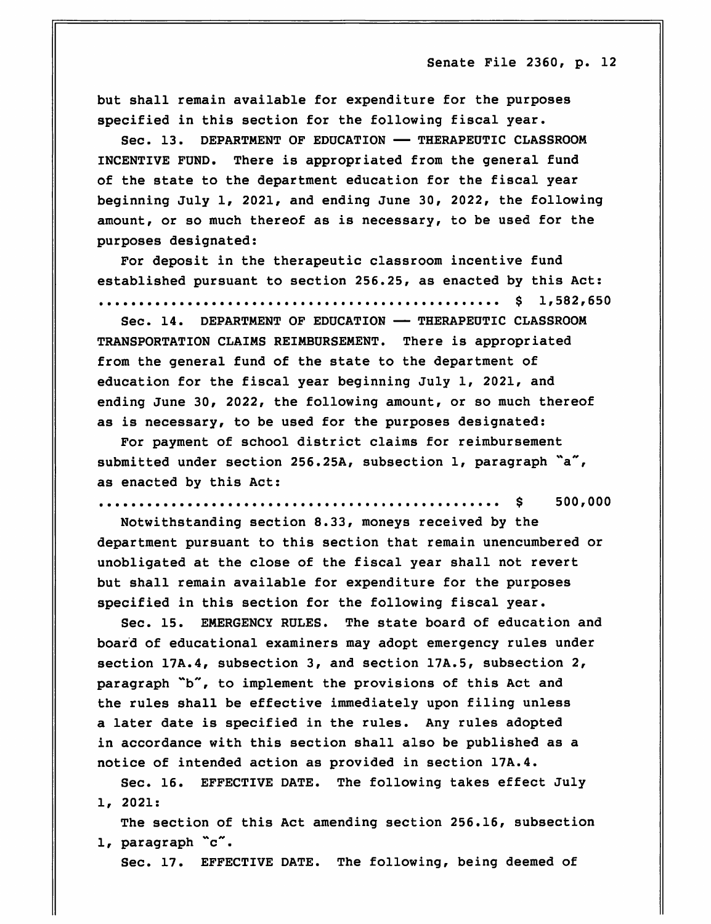but shall remain available for expenditure for the purposes specified in this section for the following fiscal year.

Sec. 13. DEPARTMENT OF EDUCATION — THERAPEUTIC CLASSROOM INCENTIVE FUND. There is appropriated from the general fund of the state to the department education for the fiscal year beginning July 1, 2021, and ending June 30, 2022, the following amount, or so much thereof as is necessary, to be used for the purposes designated:

For deposit in the therapeutic classroom incentive fund established pursuant to section 256.25, as enacted by this Act:

\$ 1,582,650

Sec. 14. DEPARTMENT OF EDUCATION — THERAPEUTIC CLASSROOM TRANSPORTATION CLAIMS REIMBURSEMENT. There is appropriated from the general fund of the state to the department of education for the fiscal year beginning July 1, 2021, and ending June 30, 2022, the following amount, or so much thereof as is necessary, to be used for the purposes designated:

For payment of school district claims for reimbursement submitted under section 256.25A, subsection  $1$ , paragraph  $\tilde{a}$ , as enacted by this Act:

\$ 500,000

Notwithstanding section 8.33, moneys received by the department pursuant to this section that remain unencumbered or unobligated at the close of the fiscal year shall not revert but shall remain available for expenditure for the purposes specified in this section for the following fiscal year.

Sec. 15. EMERGENCY RULES. The state board of education and board of educational examiners may adopt emergency rules under section 17A.4, subsection 3, and section 17A.5, subsection 2, paragraph "b", to implement the provisions of this Act and the rules shall be effective immediately upon filing unless a later date is specified in the rules. Any rules adopted in accordance with this section shall also be published as a notice of intended action as provided in section 17A.4.

Sec. 16. EFFECTIVE DATE. The following takes effect July 1, 2021:

The section of this Act amending section 256.16, subsection 1, paragraph "c".

Sec. 17. EFFECTIVE DATE. The following, being deemed of